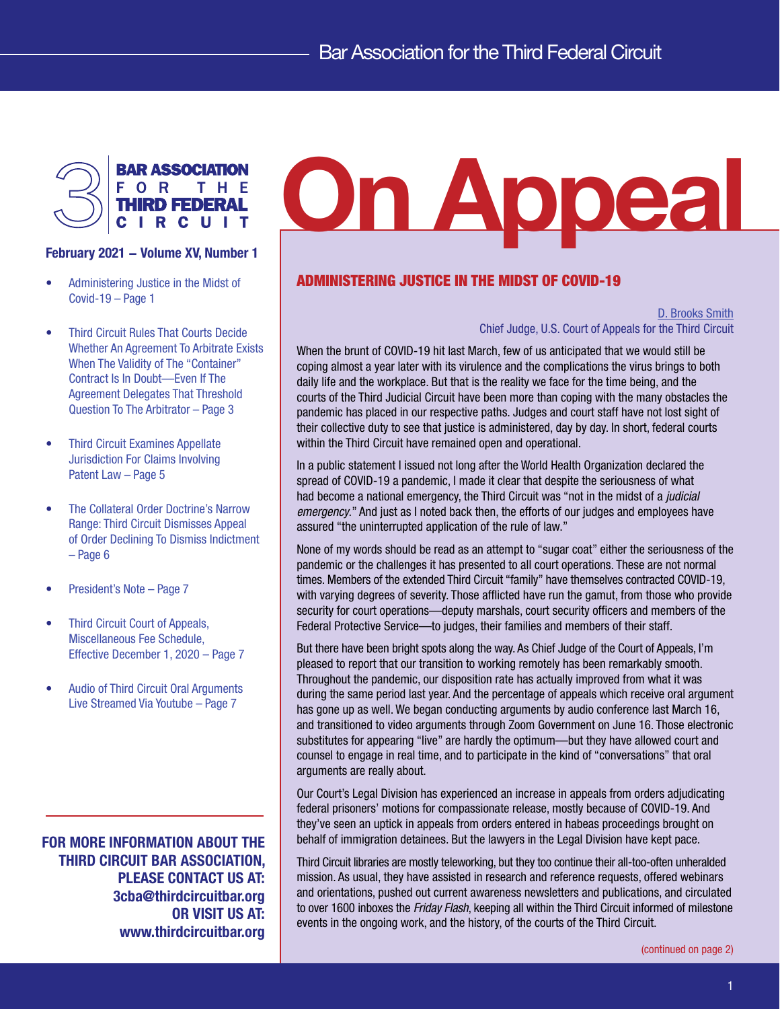

- Administering Justice in the Midst of Covid-19 – Page 1
- [Third Circuit Rules That Courts Decide](#page-2-0)  [Whether An Agreement To Arbitrate Exists](#page-2-0)  [When The Validity of The "Container"](#page-2-0)  [Contract Is In Doubt—Even If The](#page-2-0)  [Agreement Delegates That Threshold](#page-2-0)  [Question To The Arbitrator – Page 3](#page-2-0)
- [Third Circuit Examines Appellate](#page-4-0)  [Jurisdiction For Claims Involving](#page-4-0)  [Patent Law – Page 5](#page-4-0)
- [The Collateral Order Doctrine's Narrow](#page-5-0)  [Range: Third Circuit Dismisses Appeal](#page-5-0)  [of Order Declining To Dismiss Indictment](#page-5-0) [– Page 6](#page-5-0)
- [President's Note Page 7](#page-6-0)
- [Third Circuit Court of Appeals,](#page-6-0)  [Miscellaneous Fee Schedule,](#page-6-0)  [Effective December 1, 2020 – Page 7](#page-6-0)
- [Audio of Third Circuit Oral Arguments](#page-6-0)  [Live Streamed Via Youtube – Page 7](#page-6-0)

FOR MORE INFORMATION ABOUT THE THIRD CIRCUIT BAR ASSOCIATION, PLEASE CONTACT US AT: 3cba@thirdcircuitbar.org OR VISIT US AT: www.thirdcircuitbar.org

# FOR THE THIRD FEDERAL FEBRUARY 2021 – Volume XV, Number 1

# ADMINISTERING JUSTICE IN THE MIDST OF COVID-19

D. Brooks Smith Chief Judge, U.S. Court of Appeals for the Third Circuit

When the brunt of COVID-19 hit last March, few of us anticipated that we would still be coping almost a year later with its virulence and the complications the virus brings to both daily life and the workplace. But that is the reality we face for the time being, and the courts of the Third Judicial Circuit have been more than coping with the many obstacles the pandemic has placed in our respective paths. Judges and court staff have not lost sight of their collective duty to see that justice is administered, day by day. In short, federal courts within the Third Circuit have remained open and operational.

In a public statement I issued not long after the World Health Organization declared the spread of COVID-19 a pandemic, I made it clear that despite the seriousness of what had become a national emergency, the Third Circuit was "not in the midst of a *judicial emergency*." And just as I noted back then, the efforts of our judges and employees have assured "the uninterrupted application of the rule of law."

None of my words should be read as an attempt to "sugar coat" either the seriousness of the pandemic or the challenges it has presented to all court operations. These are not normal times. Members of the extended Third Circuit "family" have themselves contracted COVID-19, with varying degrees of severity. Those afflicted have run the gamut, from those who provide security for court operations—deputy marshals, court security officers and members of the Federal Protective Service—to judges, their families and members of their staff.

But there have been bright spots along the way. As Chief Judge of the Court of Appeals, I'm pleased to report that our transition to working remotely has been remarkably smooth. Throughout the pandemic, our disposition rate has actually improved from what it was during the same period last year. And the percentage of appeals which receive oral argument has gone up as well. We began conducting arguments by audio conference last March 16, and transitioned to video arguments through Zoom Government on June 16. Those electronic substitutes for appearing "live" are hardly the optimum—but they have allowed court and counsel to engage in real time, and to participate in the kind of "conversations" that oral arguments are really about.

Our Court's Legal Division has experienced an increase in appeals from orders adjudicating federal prisoners' motions for compassionate release, mostly because of COVID-19. And they've seen an uptick in appeals from orders entered in habeas proceedings brought on behalf of immigration detainees. But the lawyers in the Legal Division have kept pace.

Third Circuit libraries are mostly teleworking, but they too continue their all-too-often unheralded mission. As usual, they have assisted in research and reference requests, offered webinars and orientations, pushed out current awareness newsletters and publications, and circulated to over 1600 inboxes the *Friday Flash*, keeping all within the Third Circuit informed of milestone events in the ongoing work, and the history, of the courts of the Third Circuit.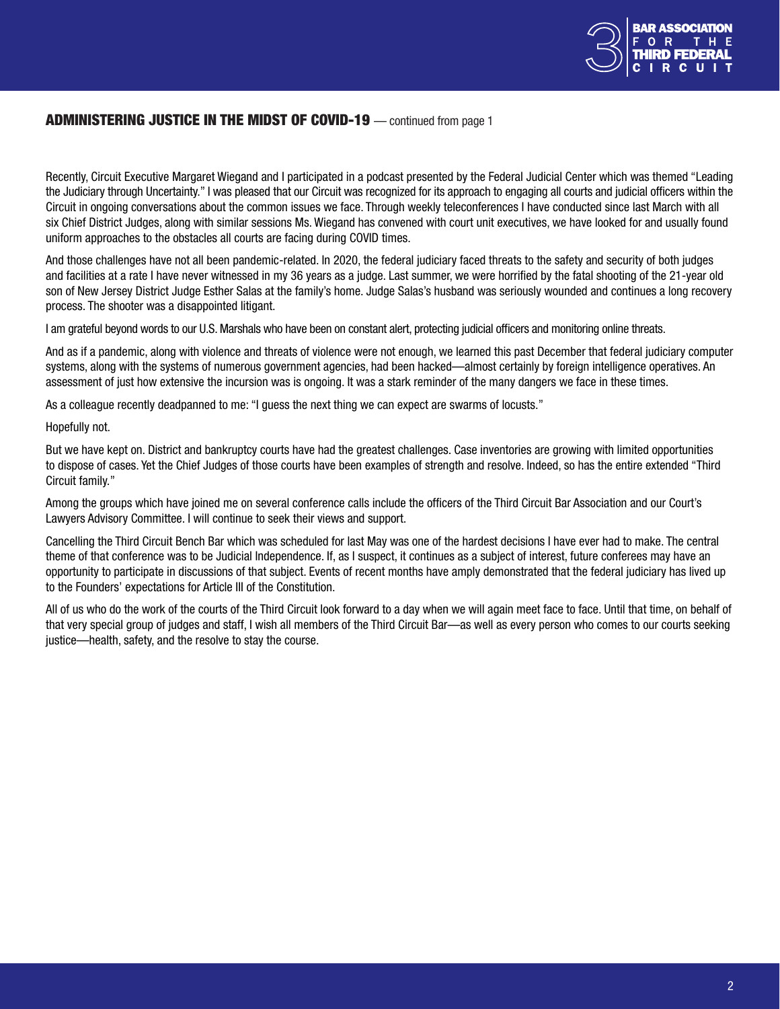

# <span id="page-1-0"></span>ADMINISTERING JUSTICE IN THE MIDST OF COVID-19 — continued from page 1

Recently, Circuit Executive Margaret Wiegand and I participated in a podcast presented by the Federal Judicial Center which was themed "Leading the Judiciary through Uncertainty." I was pleased that our Circuit was recognized for its approach to engaging all courts and judicial officers within the Circuit in ongoing conversations about the common issues we face. Through weekly teleconferences I have conducted since last March with all six Chief District Judges, along with similar sessions Ms. Wiegand has convened with court unit executives, we have looked for and usually found uniform approaches to the obstacles all courts are facing during COVID times.

And those challenges have not all been pandemic-related. In 2020, the federal judiciary faced threats to the safety and security of both judges and facilities at a rate I have never witnessed in my 36 years as a judge. Last summer, we were horrified by the fatal shooting of the 21-year old son of New Jersey District Judge Esther Salas at the family's home. Judge Salas's husband was seriously wounded and continues a long recovery process. The shooter was a disappointed litigant.

I am grateful beyond words to our U.S. Marshals who have been on constant alert, protecting judicial officers and monitoring online threats.

And as if a pandemic, along with violence and threats of violence were not enough, we learned this past December that federal judiciary computer systems, along with the systems of numerous government agencies, had been hacked—almost certainly by foreign intelligence operatives. An assessment of just how extensive the incursion was is ongoing. It was a stark reminder of the many dangers we face in these times.

As a colleague recently deadpanned to me: "I guess the next thing we can expect are swarms of locusts."

Hopefully not.

But we have kept on. District and bankruptcy courts have had the greatest challenges. Case inventories are growing with limited opportunities to dispose of cases. Yet the Chief Judges of those courts have been examples of strength and resolve. Indeed, so has the entire extended "Third Circuit family."

Among the groups which have joined me on several conference calls include the officers of the Third Circuit Bar Association and our Court's Lawyers Advisory Committee. I will continue to seek their views and support.

Cancelling the Third Circuit Bench Bar which was scheduled for last May was one of the hardest decisions I have ever had to make. The central theme of that conference was to be Judicial Independence. If, as I suspect, it continues as a subject of interest, future conferees may have an opportunity to participate in discussions of that subject. Events of recent months have amply demonstrated that the federal judiciary has lived up to the Founders' expectations for Article III of the Constitution.

All of us who do the work of the courts of the Third Circuit look forward to a day when we will again meet face to face. Until that time, on behalf of that very special group of judges and staff, I wish all members of the Third Circuit Bar—as well as every person who comes to our courts seeking justice—health, safety, and the resolve to stay the course.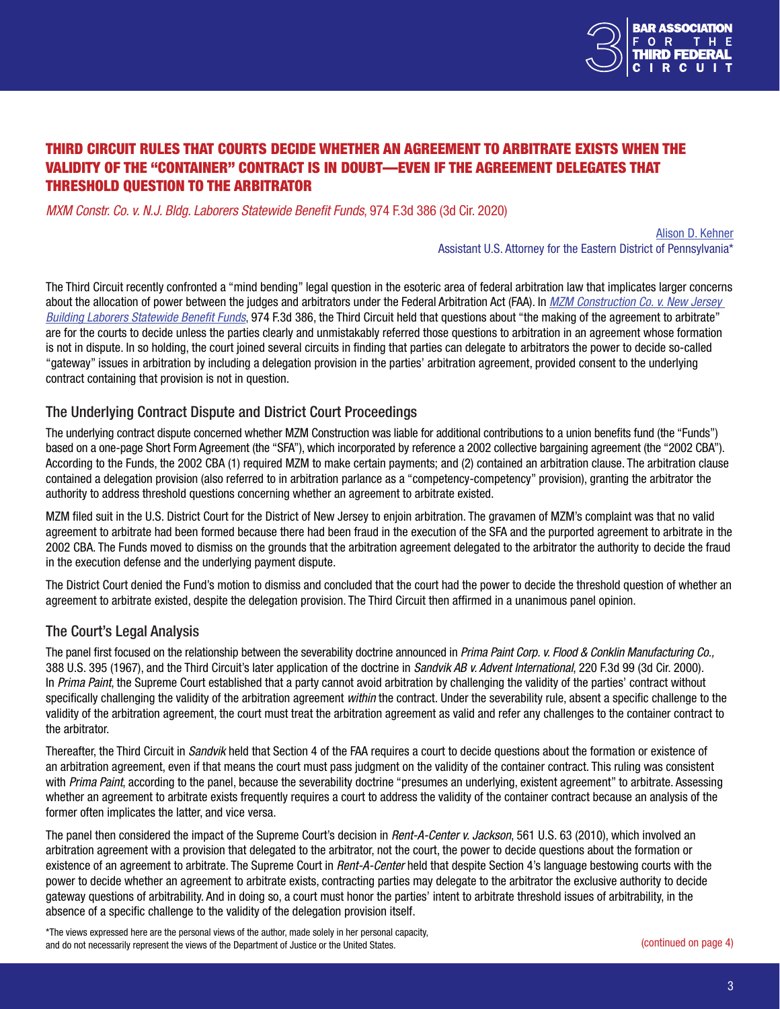

# <span id="page-2-0"></span>THIRD CIRCUIT RULES THAT COURTS DECIDE WHETHER AN AGREEMENT TO ARBITRATE EXISTS WHEN THE VALIDITY OF THE "CONTAINER" CONTRACT IS IN DOUBT—EVEN IF THE AGREEMENT DELEGATES THAT THRESHOLD QUESTION TO THE ARBITRATOR

*MXM Constr. Co. v. N.J. Bldg. Laborers Statewide Benefit Funds*, 974 F.3d 386 (3d Cir. 2020)

Alison D. Kehner Assistant U.S. Attorney for the Eastern District of Pennsylvania\*

The Third Circuit recently confronted a "mind bending" legal question in the esoteric area of federal arbitration law that implicates larger concerns about the allocation of power between the judges and arbitrators under the Federal Arbitration Act (FAA). In *[MZM Construction Co. v. New Jersey](http://www2.ca3.uscourts.gov/opinarch/183791p.pdf)  [Building Laborers Statewide Benefit Funds](http://www2.ca3.uscourts.gov/opinarch/183791p.pdf)*, 974 F.3d 386, the Third Circuit held that questions about "the making of the agreement to arbitrate" are for the courts to decide unless the parties clearly and unmistakably referred those questions to arbitration in an agreement whose formation is not in dispute. In so holding, the court joined several circuits in finding that parties can delegate to arbitrators the power to decide so-called "gateway" issues in arbitration by including a delegation provision in the parties' arbitration agreement, provided consent to the underlying contract containing that provision is not in question.

# The Underlying Contract Dispute and District Court Proceedings

The underlying contract dispute concerned whether MZM Construction was liable for additional contributions to a union benefits fund (the "Funds") based on a one-page Short Form Agreement (the "SFA"), which incorporated by reference a 2002 collective bargaining agreement (the "2002 CBA"). According to the Funds, the 2002 CBA (1) required MZM to make certain payments; and (2) contained an arbitration clause. The arbitration clause contained a delegation provision (also referred to in arbitration parlance as a "competency-competency" provision), granting the arbitrator the authority to address threshold questions concerning whether an agreement to arbitrate existed.

MZM filed suit in the U.S. District Court for the District of New Jersey to enjoin arbitration. The gravamen of MZM's complaint was that no valid agreement to arbitrate had been formed because there had been fraud in the execution of the SFA and the purported agreement to arbitrate in the 2002 CBA. The Funds moved to dismiss on the grounds that the arbitration agreement delegated to the arbitrator the authority to decide the fraud in the execution defense and the underlying payment dispute.

The District Court denied the Fund's motion to dismiss and concluded that the court had the power to decide the threshold question of whether an agreement to arbitrate existed, despite the delegation provision. The Third Circuit then affirmed in a unanimous panel opinion.

### The Court's Legal Analysis

The panel first focused on the relationship between the severability doctrine announced in *Prima Paint Corp. v. Flood & Conklin Manufacturing Co.,*  388 U.S. 395 (1967), and the Third Circuit's later application of the doctrine in *Sandvik AB v. Advent International*, 220 F.3d 99 (3d Cir. 2000). In *Prima Paint*, the Supreme Court established that a party cannot avoid arbitration by challenging the validity of the parties' contract without specifically challenging the validity of the arbitration agreement *within* the contract. Under the severability rule, absent a specific challenge to the validity of the arbitration agreement, the court must treat the arbitration agreement as valid and refer any challenges to the container contract to the arbitrator.

Thereafter, the Third Circuit in *Sandvik* held that Section 4 of the FAA requires a court to decide questions about the formation or existence of an arbitration agreement, even if that means the court must pass judgment on the validity of the container contract. This ruling was consistent with *Prima Paint*, according to the panel, because the severability doctrine "presumes an underlying, existent agreement" to arbitrate. Assessing whether an agreement to arbitrate exists frequently requires a court to address the validity of the container contract because an analysis of the former often implicates the latter, and vice versa.

The panel then considered the impact of the Supreme Court's decision in *Rent-A-Center v. Jackson*, 561 U.S. 63 (2010), which involved an arbitration agreement with a provision that delegated to the arbitrator, not the court, the power to decide questions about the formation or existence of an agreement to arbitrate. The Supreme Court in *Rent-A-Center* held that despite Section 4's language bestowing courts with the power to decide whether an agreement to arbitrate exists, contracting parties may delegate to the arbitrator the exclusive authority to decide gateway questions of arbitrability. And in doing so, a court must honor the parties' intent to arbitrate threshold issues of arbitrability, in the absence of a specific challenge to the validity of the delegation provision itself.

\*The views expressed here are the personal views of the author, made solely in her personal capacity, and do not necessarily represent the views of the Department of Justice or the United States. ([continued on page 4](#page-3-0))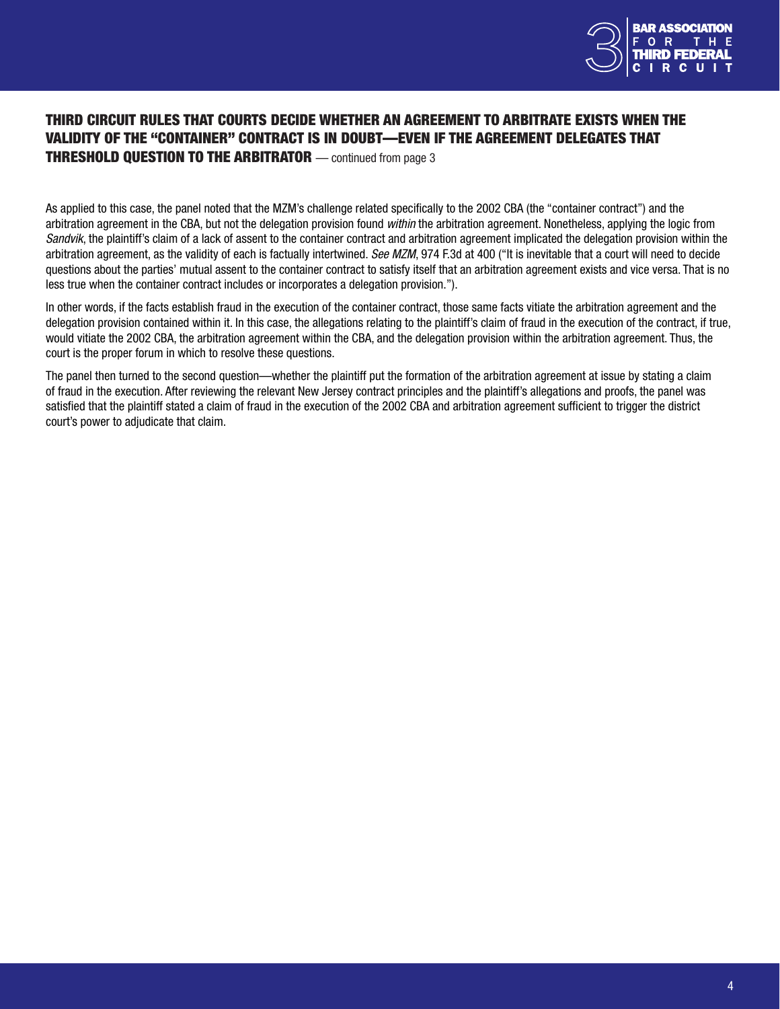

# <span id="page-3-0"></span>THIRD CIRCUIT RULES THAT COURTS DECIDE WHETHER AN AGREEMENT TO ARBITRATE EXISTS WHEN THE VALIDITY OF THE "CONTAINER" CONTRACT IS IN DOUBT—EVEN IF THE AGREEMENT DELEGATES THAT **THRESHOLD QUESTION TO THE ARBITRATOR** — continued from page 3

As applied to this case, the panel noted that the MZM's challenge related specifically to the 2002 CBA (the "container contract") and the arbitration agreement in the CBA, but not the delegation provision found *within* the arbitration agreement. Nonetheless, applying the logic from *Sandvik*, the plaintiff's claim of a lack of assent to the container contract and arbitration agreement implicated the delegation provision within the arbitration agreement, as the validity of each is factually intertwined. *See MZM*, 974 F.3d at 400 ("It is inevitable that a court will need to decide questions about the parties' mutual assent to the container contract to satisfy itself that an arbitration agreement exists and vice versa. That is no less true when the container contract includes or incorporates a delegation provision.").

In other words, if the facts establish fraud in the execution of the container contract, those same facts vitiate the arbitration agreement and the delegation provision contained within it. In this case, the allegations relating to the plaintiff's claim of fraud in the execution of the contract, if true, would vitiate the 2002 CBA, the arbitration agreement within the CBA, and the delegation provision within the arbitration agreement. Thus, the court is the proper forum in which to resolve these questions.

The panel then turned to the second question—whether the plaintiff put the formation of the arbitration agreement at issue by stating a claim of fraud in the execution. After reviewing the relevant New Jersey contract principles and the plaintiff's allegations and proofs, the panel was satisfied that the plaintiff stated a claim of fraud in the execution of the 2002 CBA and arbitration agreement sufficient to trigger the district court's power to adjudicate that claim.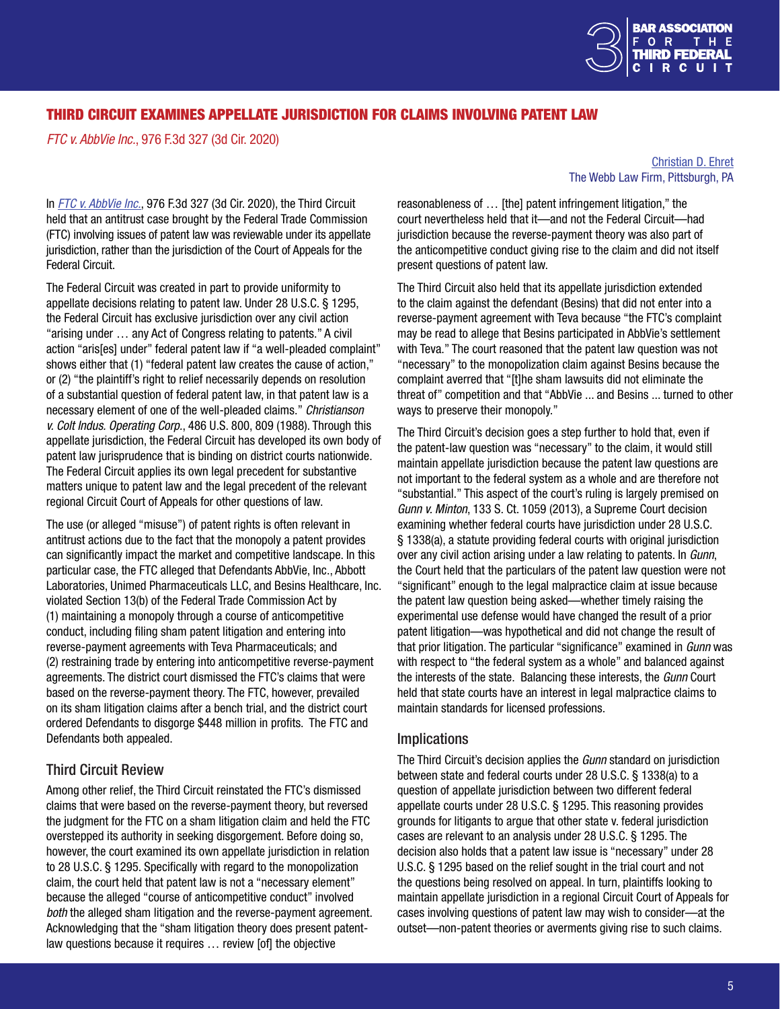

# <span id="page-4-0"></span>THIRD CIRCUIT EXAMINES APPELLATE JURISDICTION FOR CLAIMS INVOLVING PATENT LAW

*FTC v. AbbVie Inc.*, 976 F.3d 327 (3d Cir. 2020)

#### [Christian D. Ehret](https://www.webblaw.com/meet-webb-law-team/professional-profile/christian-d-ehret/) The Webb Law Firm, Pittsburgh, PA

In *[FTC v. AbbVie Inc.](http://www2.ca3.uscourts.gov/opinarch/182621pa.pdf)*, 976 F.3d 327 (3d Cir. 2020), the Third Circuit held that an antitrust case brought by the Federal Trade Commission (FTC) involving issues of patent law was reviewable under its appellate jurisdiction, rather than the jurisdiction of the Court of Appeals for the Federal Circuit.

The Federal Circuit was created in part to provide uniformity to appellate decisions relating to patent law. Under 28 U.S.C. § 1295, the Federal Circuit has exclusive jurisdiction over any civil action "arising under … any Act of Congress relating to patents." A civil action "aris[es] under" federal patent law if "a well-pleaded complaint" shows either that (1) "federal patent law creates the cause of action," or (2) "the plaintiff's right to relief necessarily depends on resolution of a substantial question of federal patent law, in that patent law is a necessary element of one of the well-pleaded claims." *Christianson v. Colt Indus. Operating Corp.*, 486 U.S. 800, 809 (1988). Through this appellate jurisdiction, the Federal Circuit has developed its own body of patent law jurisprudence that is binding on district courts nationwide. The Federal Circuit applies its own legal precedent for substantive matters unique to patent law and the legal precedent of the relevant regional Circuit Court of Appeals for other questions of law.

The use (or alleged "misuse") of patent rights is often relevant in antitrust actions due to the fact that the monopoly a patent provides can significantly impact the market and competitive landscape. In this particular case, the FTC alleged that Defendants AbbVie, Inc., Abbott Laboratories, Unimed Pharmaceuticals LLC, and Besins Healthcare, Inc. violated Section 13(b) of the Federal Trade Commission Act by (1) maintaining a monopoly through a course of anticompetitive conduct, including filing sham patent litigation and entering into reverse-payment agreements with Teva Pharmaceuticals; and (2) restraining trade by entering into anticompetitive reverse-payment agreements. The district court dismissed the FTC's claims that were based on the reverse-payment theory. The FTC, however, prevailed on its sham litigation claims after a bench trial, and the district court ordered Defendants to disgorge \$448 million in profits. The FTC and Defendants both appealed.

# Third Circuit Review

Among other relief, the Third Circuit reinstated the FTC's dismissed claims that were based on the reverse-payment theory, but reversed the judgment for the FTC on a sham litigation claim and held the FTC overstepped its authority in seeking disgorgement. Before doing so, however, the court examined its own appellate jurisdiction in relation to 28 U.S.C. § 1295. Specifically with regard to the monopolization claim, the court held that patent law is not a "necessary element" because the alleged "course of anticompetitive conduct" involved *both* the alleged sham litigation and the reverse-payment agreement. Acknowledging that the "sham litigation theory does present patentlaw questions because it requires … review [of] the objective

reasonableness of … [the] patent infringement litigation," the court nevertheless held that it—and not the Federal Circuit—had jurisdiction because the reverse-payment theory was also part of the anticompetitive conduct giving rise to the claim and did not itself present questions of patent law.

The Third Circuit also held that its appellate jurisdiction extended to the claim against the defendant (Besins) that did not enter into a reverse-payment agreement with Teva because "the FTC's complaint may be read to allege that Besins participated in AbbVie's settlement with Teva." The court reasoned that the patent law question was not "necessary" to the monopolization claim against Besins because the complaint averred that "[t]he sham lawsuits did not eliminate the threat of" competition and that "AbbVie ... and Besins ... turned to other ways to preserve their monopoly."

The Third Circuit's decision goes a step further to hold that, even if the patent-law question was "necessary" to the claim, it would still maintain appellate jurisdiction because the patent law questions are not important to the federal system as a whole and are therefore not "substantial." This aspect of the court's ruling is largely premised on *Gunn v. Minton*, 133 S. Ct. 1059 (2013), a Supreme Court decision examining whether federal courts have jurisdiction under 28 U.S.C. § 1338(a), a statute providing federal courts with original jurisdiction over any civil action arising under a law relating to patents. In *Gunn*, the Court held that the particulars of the patent law question were not "significant" enough to the legal malpractice claim at issue because the patent law question being asked—whether timely raising the experimental use defense would have changed the result of a prior patent litigation—was hypothetical and did not change the result of that prior litigation. The particular "significance" examined in *Gunn* was with respect to "the federal system as a whole" and balanced against the interests of the state. Balancing these interests, the *Gunn* Court held that state courts have an interest in legal malpractice claims to maintain standards for licensed professions.

### **Implications**

The Third Circuit's decision applies the *Gunn* standard on jurisdiction between state and federal courts under 28 U.S.C. § 1338(a) to a question of appellate jurisdiction between two different federal appellate courts under 28 U.S.C. § 1295. This reasoning provides grounds for litigants to argue that other state v. federal jurisdiction cases are relevant to an analysis under 28 U.S.C. § 1295. The decision also holds that a patent law issue is "necessary" under 28 U.S.C. § 1295 based on the relief sought in the trial court and not the questions being resolved on appeal. In turn, plaintiffs looking to maintain appellate jurisdiction in a regional Circuit Court of Appeals for cases involving questions of patent law may wish to consider—at the outset—non-patent theories or averments giving rise to such claims.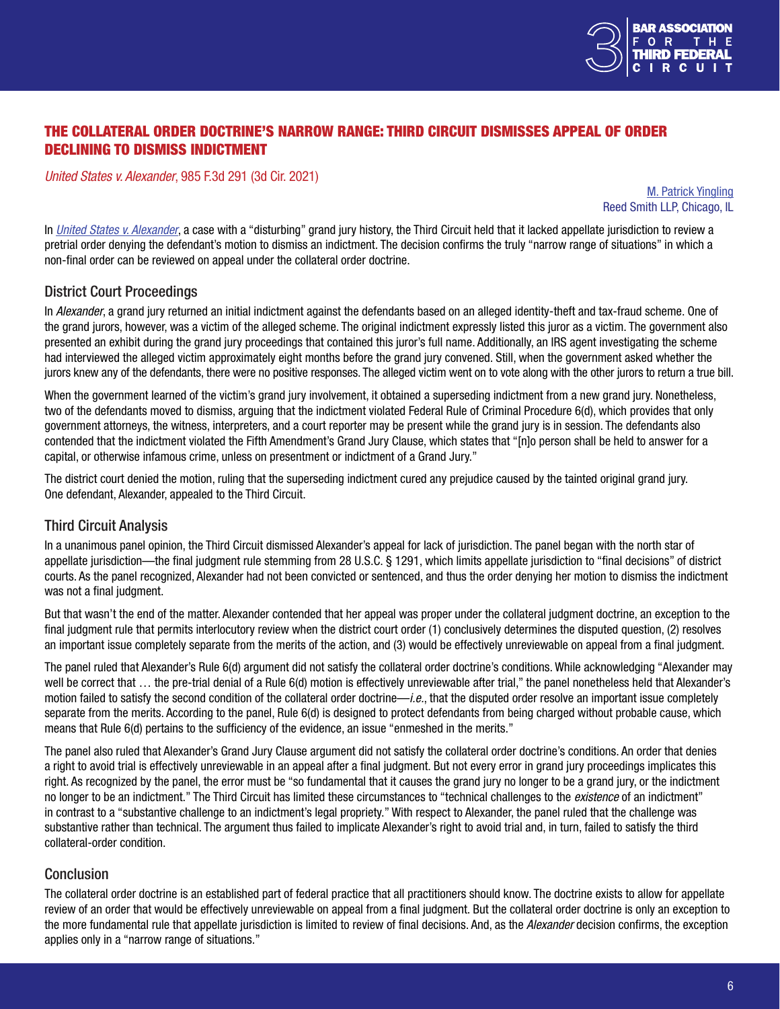

# <span id="page-5-0"></span>THE COLLATERAL ORDER DOCTRINE'S NARROW RANGE: THIRD CIRCUIT DISMISSES APPEAL OF ORDER DECLINING TO DISMISS INDICTMENT

*United States v. Alexander*, 985 F.3d 291 (3d Cir. 2021)

[M. Patrick Yingling](https://www.reedsmith.com/en/professionals/y/yingling-m-patrick) Reed Smith LLP, Chicago, IL

In *[United States v. Alexander](https://www2.ca3.uscourts.gov/opinarch/193423p.pdf)*, a case with a "disturbing" grand jury history, the Third Circuit held that it lacked appellate jurisdiction to review a pretrial order denying the defendant's motion to dismiss an indictment. The decision confirms the truly "narrow range of situations" in which a non-final order can be reviewed on appeal under the collateral order doctrine.

### District Court Proceedings

In *Alexander*, a grand jury returned an initial indictment against the defendants based on an alleged identity-theft and tax-fraud scheme. One of the grand jurors, however, was a victim of the alleged scheme. The original indictment expressly listed this juror as a victim. The government also presented an exhibit during the grand jury proceedings that contained this juror's full name. Additionally, an IRS agent investigating the scheme had interviewed the alleged victim approximately eight months before the grand jury convened. Still, when the government asked whether the jurors knew any of the defendants, there were no positive responses. The alleged victim went on to vote along with the other jurors to return a true bill.

When the government learned of the victim's grand jury involvement, it obtained a superseding indictment from a new grand jury. Nonetheless, two of the defendants moved to dismiss, arguing that the indictment violated Federal Rule of Criminal Procedure 6(d), which provides that only government attorneys, the witness, interpreters, and a court reporter may be present while the grand jury is in session. The defendants also contended that the indictment violated the Fifth Amendment's Grand Jury Clause, which states that "[n]o person shall be held to answer for a capital, or otherwise infamous crime, unless on presentment or indictment of a Grand Jury."

The district court denied the motion, ruling that the superseding indictment cured any prejudice caused by the tainted original grand jury. One defendant, Alexander, appealed to the Third Circuit.

### Third Circuit Analysis

In a unanimous panel opinion, the Third Circuit dismissed Alexander's appeal for lack of jurisdiction. The panel began with the north star of appellate jurisdiction—the final judgment rule stemming from 28 U.S.C. § 1291, which limits appellate jurisdiction to "final decisions" of district courts. As the panel recognized, Alexander had not been convicted or sentenced, and thus the order denying her motion to dismiss the indictment was not a final judgment.

But that wasn't the end of the matter. Alexander contended that her appeal was proper under the collateral judgment doctrine, an exception to the final judgment rule that permits interlocutory review when the district court order (1) conclusively determines the disputed question, (2) resolves an important issue completely separate from the merits of the action, and (3) would be effectively unreviewable on appeal from a final judgment.

The panel ruled that Alexander's Rule 6(d) argument did not satisfy the collateral order doctrine's conditions. While acknowledging "Alexander may well be correct that … the pre-trial denial of a Rule 6(d) motion is effectively unreviewable after trial," the panel nonetheless held that Alexander's motion failed to satisfy the second condition of the collateral order doctrine—*i.e.*, that the disputed order resolve an important issue completely separate from the merits. According to the panel, Rule 6(d) is designed to protect defendants from being charged without probable cause, which means that Rule 6(d) pertains to the sufficiency of the evidence, an issue "enmeshed in the merits."

The panel also ruled that Alexander's Grand Jury Clause argument did not satisfy the collateral order doctrine's conditions. An order that denies a right to avoid trial is effectively unreviewable in an appeal after a final judgment. But not every error in grand jury proceedings implicates this right. As recognized by the panel, the error must be "so fundamental that it causes the grand jury no longer to be a grand jury, or the indictment no longer to be an indictment." The Third Circuit has limited these circumstances to "technical challenges to the *existence* of an indictment" in contrast to a "substantive challenge to an indictment's legal propriety." With respect to Alexander, the panel ruled that the challenge was substantive rather than technical. The argument thus failed to implicate Alexander's right to avoid trial and, in turn, failed to satisfy the third collateral-order condition.

### Conclusion

The collateral order doctrine is an established part of federal practice that all practitioners should know. The doctrine exists to allow for appellate review of an order that would be effectively unreviewable on appeal from a final judgment. But the collateral order doctrine is only an exception to the more fundamental rule that appellate jurisdiction is limited to review of final decisions. And, as the *Alexander* decision confirms, the exception applies only in a "narrow range of situations."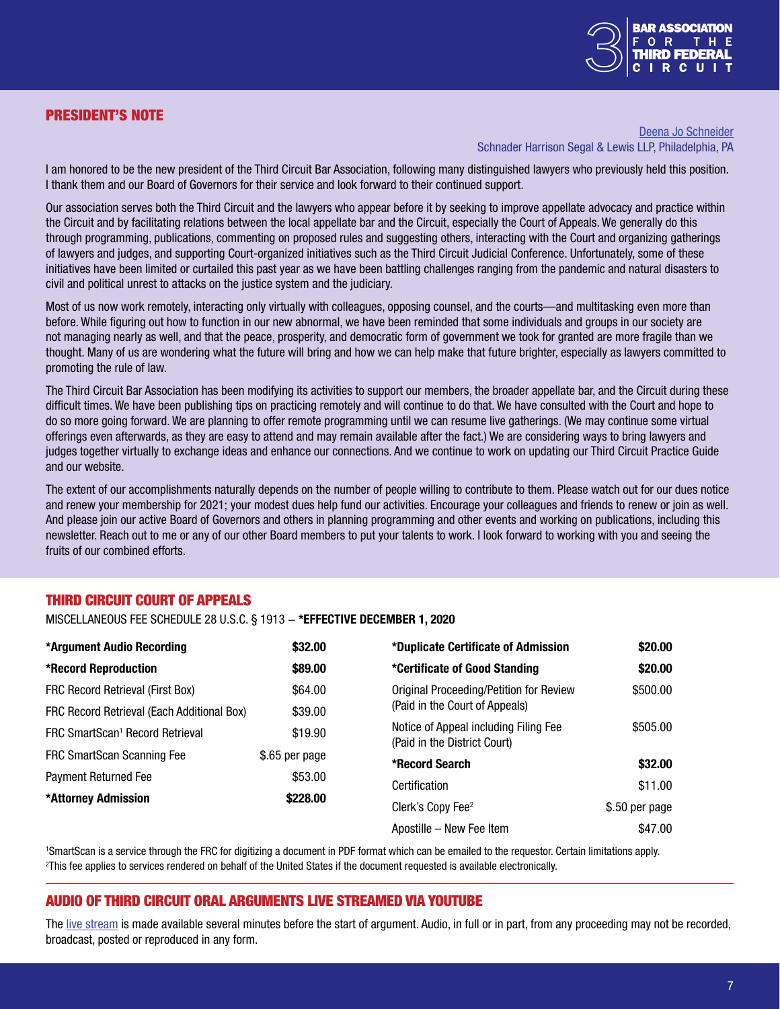# <span id="page-6-0"></span>PRESIDENT'S NOTE



#### [Deena Jo Schneider](https://www.schnader.com/attorneys/deena-jo-schneider/) Schnader Harrison Segal & Lewis LLP, Philadelphia, PA

I am honored to be the new president of the Third Circuit Bar Association, following many distinguished lawyers who previously held this position. I thank them and our Board of Governors for their service and look forward to their continued support.

Our association serves both the Third Circuit and the lawyers who appear before it by seeking to improve appellate advocacy and practice within the Circuit and by facilitating relations between the local appellate bar and the Circuit, especially the Court of Appeals. We generally do this through programming, publications, commenting on proposed rules and suggesting others, interacting with the Court and organizing gatherings of lawyers and judges, and supporting Court-organized initiatives such as the Third Circuit Judicial Conference. Unfortunately, some of these initiatives have been limited or curtailed this past year as we have been battling challenges ranging from the pandemic and natural disasters to civil and political unrest to attacks on the justice system and the judiciary.

Most of us now work remotely, interacting only virtually with colleagues, opposing counsel, and the courts—and multitasking even more than before. While figuring out how to function in our new abnormal, we have been reminded that some individuals and groups in our society are not managing nearly as well, and that the peace, prosperity, and democratic form of government we took for granted are more fragile than we thought. Many of us are wondering what the future will bring and how we can help make that future brighter, especially as lawyers committed to promoting the rule of law.

The Third Circuit Bar Association has been modifying its activities to support our members, the broader appellate bar, and the Circuit during these difficult times. We have been publishing tips on practicing remotely and will continue to do that. We have consulted with the Court and hope to do so more going forward. We are planning to offer remote programming until we can resume live gatherings. (We may continue some virtual offerings even afterwards, as they are easy to attend and may remain available after the fact.) We are considering ways to bring lawyers and judges together virtually to exchange ideas and enhance our connections. And we continue to work on updating our Third Circuit Practice Guide and our website.

The extent of our accomplishments naturally depends on the number of people willing to contribute to them. Please watch out for our dues notice and renew your membership for 2021; your modest dues help fund our activities. Encourage your colleagues and friends to renew or join as well. And please join our active Board of Governors and others in planning programming and other events and working on publications, including this newsletter. Reach out to me or any of our other Board members to put your talents to work. I look forward to working with you and seeing the fruits of our combined efforts.

# THIRD CIRCUIT COURT OF APPEALS

MISCELLANEOUS FEE SCHEDULE 28 U.S.C. § 1913 − \*EFFECTIVE DECEMBER 1, 2020

| *Argument Audio Recording                   | \$32.00        | *Duplicate Certificate of Admission                                       | \$20.00        |
|---------------------------------------------|----------------|---------------------------------------------------------------------------|----------------|
| *Record Reproduction                        | \$89.00        | *Certificate of Good Standing                                             | \$20.00        |
| FRC Record Retrieval (First Box)            | \$64.00        | Original Proceeding/Petition for Review<br>(Paid in the Court of Appeals) | \$500.00       |
| FRC Record Retrieval (Each Additional Box)  | \$39.00        |                                                                           |                |
| FRC SmartScan <sup>1</sup> Record Retrieval | \$19.90        | Notice of Appeal including Filing Fee<br>(Paid in the District Court)     | \$505.00       |
| FRC SmartScan Scanning Fee                  | \$.65 per page | *Record Search                                                            | \$32.00        |
| <b>Payment Returned Fee</b>                 | \$53.00        | Certification                                                             | \$11.00        |
| *Attorney Admission                         | \$228.00       |                                                                           |                |
|                                             |                | Clerk's Copy Fee <sup>2</sup>                                             | \$.50 per page |
|                                             |                | Apostille - New Fee Item                                                  | \$47.00        |

1 SmartScan is a service through the FRC for digitizing a document in PDF format which can be emailed to the requestor. Certain limitations apply. 2 This fee applies to services rendered on behalf of the United States if the document requested is available electronically.

# AUDIO OF THIRD CIRCUIT ORAL ARGUMENTS LIVE STREAMED VIA YOUTUBE

The [live stream](https://www.youtube.com/channel/UCLSXp4JMYiFc7BHD_ln3d-w) is made available several minutes before the start of argument. Audio, in full or in part, from any proceeding may not be recorded, broadcast, posted or reproduced in any form.